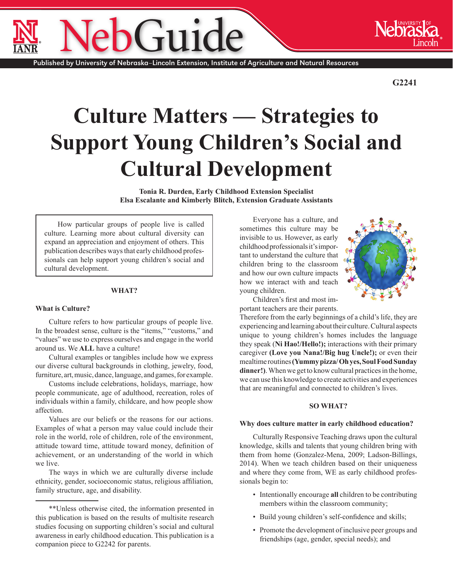Published by University of Nebraska–Lincoln Extension, Institute of Agriculture and Natural Resources

 $-1110$ 

**G2241**

# **Culture Matters — Strategies to Support Young Children's Social and Cultural Development**

**Tonia R. Durden, Early Childhood Extension Specialist Elsa Escalante and Kimberly Blitch, Extension Graduate Assistants**

How particular groups of people live is called culture. Learning more about cultural diversity can expand an appreciation and enjoyment of others. This publication describes ways that early childhood professionals can help support young children's social and cultural development.

#### **WHAT?**

#### **What is Culture?**

Culture refers to how particular groups of people live. In the broadest sense, culture is the "items," "customs," and "values" we use to express ourselves and engage in the world around us. We **ALL** have a culture!

Cultural examples or tangibles include how we express our diverse cultural backgrounds in clothing, jewelry, food, furniture, art, music, dance, language, and games, for example.

Customs include celebrations, holidays, marriage, how people communicate, age of adulthood, recreation, roles of individuals within a family, childcare, and how people show affection.

Values are our beliefs or the reasons for our actions. Examples of what a person may value could include their role in the world, role of children, role of the environment, attitude toward time, attitude toward money, definition of achievement, or an understanding of the world in which we live.

The ways in which we are culturally diverse include ethnicity, gender, socioeconomic status, religious affiliation, family structure, age, and disability.

Everyone has a culture, and sometimes this culture may be invisible to us. However, as early childhood professionals it's important to understand the culture that children bring to the classroom and how our own culture impacts how we interact with and teach young children.



Children's first and most important teachers are their parents.

Therefore from the early beginnings of a child's life, they are experiencing and learning about their culture. Cultural aspects unique to young children's homes includes the language they speak (**Ni Hao!/Hello!);** interactions with their primary caregiver **(Love you Nana!/Big hug Uncle!);** or even their mealtime routines **(Yummy pizza/ Oh yes, Soul Food Sunday dinner!)**.When we get to know cultural practices in the home, we can use this knowledge to create activities and experiences that are meaningful and connected to children's lives.

# **SO WHAT?**

#### **Why does culture matter in early childhood education?**

Culturally Responsive Teaching draws upon the cultural knowledge, skills and talents that young children bring with them from home (Gonzalez-Mena, 2009; Ladson-Billings, 2014). When we teach children based on their uniqueness and where they come from, WE as early childhood professionals begin to:

- Intentionally encourage **all** children to be contributing members within the classroom community;
- Build young children's self-confidence and skills;
- Promote the development of inclusive peer groups and friendships (age, gender, special needs); and

<sup>\*\*</sup>Unless otherwise cited, the information presented in this publication is based on the results of multisite research studies focusing on supporting children's social and cultural awareness in early childhood education. This publication is a companion piece to [G2242](http://www.ianrpubs.unl.edu/epublic/live/g2242/build/g2242.pdf) for parents.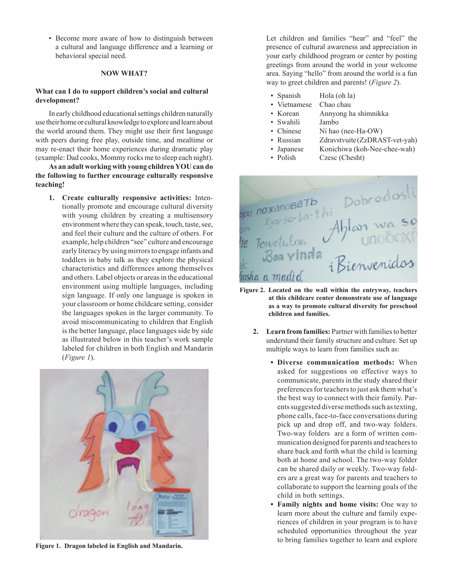• Become more aware of how to distinguish between a cultural and language difference and a learning or behavioral special need.

# **NOW WHAT?**

## **What can I do to support children's social and cultural development?**

In early childhood educational settings children naturally use their home or cultural knowledge to explore and learn about the world around them. They might use their first language with peers during free play, outside time, and mealtime or may re-enact their home experiences during dramatic play (example: Dad cooks, Mommy rocks me to sleep each night).

**As an adult working with young children YOU can do the following to further encourage culturally responsive teaching!**

**1. Create culturally responsive activities:** Intentionally promote and encourage cultural diversity with young children by creating a multisensory environment where they can speak, touch, taste, see, and feel their culture and the culture of others. For example, help children "see" culture and encourage early literacy by using mirrors to engage infants and toddlers in baby talk as they explore the physical characteristics and differences among themselves and others. Label objects or areas in the educational environment using multiple languages, including sign language. If only one language is spoken in your classroom or home childcare setting, consider the languages spoken in the larger community. To avoid miscommunicating to children that English is the better language, place languages side by side as illustrated below in this teacher's work sample labeled for children in both English and Mandarin (*Figure 1*).



Let children and families "hear" and "feel" the presence of cultural awareness and appreciation in your early childhood program or center by posting greetings from around the world in your welcome area. Saying "hello" from around the world is a fun way to greet children and parents! (*Figure 2*).

- Spanish Hola (oh la)
- Vietnamese Chao chau
- Korean Annyong ha shimnikka
- Swahili Jambo
- Chinese Ni hao (nee-Ha-OW)
- Russian *Zdravstvuite* (ZzDRAST-vet-yah)
- Japanese Konichiwa (koh-Nee-chee-wah)
- Polish Czesc (Chesht)



- **Figure 2. Located on the wall within the entryway, teachers at this childcare center demonstrate use of language as a way to promote cultural diversity for preschool children and families.**
	- **2. Learn from families:** Partner with families to better understand their family structure and culture. Set up multiple ways to learn from families such as:
		- **• Diverse communication methods:** When asked for suggestions on effective ways to communicate, parents in the study shared their preferences for teachers to just ask them what's the best way to connect with their family. Parents suggested diverse methods such as texting, phone calls, face-to-face conversations during pick up and drop off, and two-way folders. Two-way folders are a form of written communication designed for parents and teachers to share back and forth what the child is learning both at home and school. The two-way folder can be shared daily or weekly. Two-way folders are a great way for parents and teachers to collaborate to support the learning goals of the child in both settings.
- **• Family nights and home visits:** One way to learn more about the culture and family experiences of children in your program is to have scheduled opportunities throughout the year to bring families together to learn and explore **Figure 1. Dragon labeled in English and Mandarin.**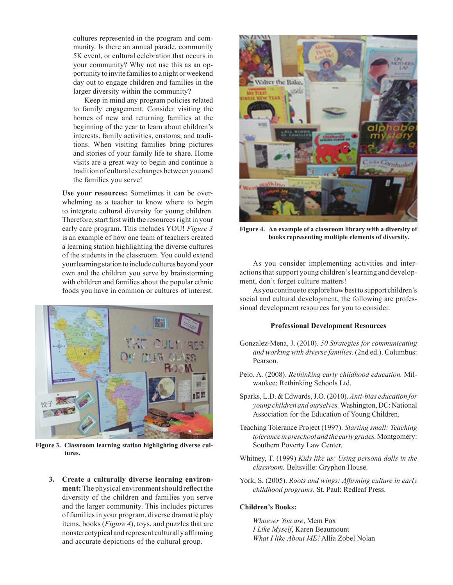cultures represented in the program and community. Is there an annual parade, community 5K event, or cultural celebration that occurs in your community? Why not use this as an opportunity to invite families to a night or weekend day out to engage children and families in the larger diversity within the community?

 Keep in mind any program policies related to family engagement. Consider visiting the homes of new and returning families at the beginning of the year to learn about children's interests, family activities, customs, and traditions. When visiting families bring pictures and stories of your family life to share. Home visits are a great way to begin and continue a tradition of cultural exchanges between you and the families you serve!

**Use your resources:** Sometimes it can be overwhelming as a teacher to know where to begin to integrate cultural diversity for young children. Therefore, start first with the resources right in your early care program. This includes YOU! *Figure 3* is an example of how one team of teachers created a learning station highlighting the diverse cultures of the students in the classroom. You could extend your learning station to include cultures beyond your own and the children you serve by brainstorming with children and families about the popular ethnic foods you have in common or cultures of interest.



**Figure 3. Classroom learning station highlighting diverse cultures.**

**3. Create a culturally diverse learning environment:** The physical environment should reflect the diversity of the children and families you serve and the larger community. This includes pictures of families in your program, diverse dramatic play items, books (*Figure 4*), toys, and puzzles that are nonstereotypical and represent culturally affirming and accurate depictions of the cultural group.



**Figure 4. An example of a classroom library with a diversity of books representing multiple elements of diversity.**

As you consider implementing activities and interactions that support young children's learning and development, don't forget culture matters!

As you continue to explore how best to support children's social and cultural development, the following are professional development resources for you to consider.

## **Professional Development Resources**

- Gonzalez-Mena, J. (2010). *50 Strategies for communicating and working with diverse families.* (2nd ed.). Columbus: Pearson.
- Pelo, A. (2008). *Rethinking early childhood education.* Milwaukee: Rethinking Schools Ltd.
- Sparks, L.D. & Edwards, J.O. (2010). *Anti-bias education for young children and ourselves.* Washington, DC: National Association for the Education of Young Children.
- Teaching Tolerance Project (1997). *Starting small: Teaching tolerance in preschool and the early grades.* Montgomery: Southern Poverty Law Center.
- Whitney, T. (1999) *Kids like us: Using persona dolls in the classroom.* Beltsville: Gryphon House.
- York, S. (2005). *Roots and wings: Affirming culture in early childhood programs.* St. Paul: Redleaf Press.

## **Children's Books:**

*Whoever You are*, Mem Fox *I Like Myself*, Karen Beaumount *What I like About ME!* Allia Zobel Nolan